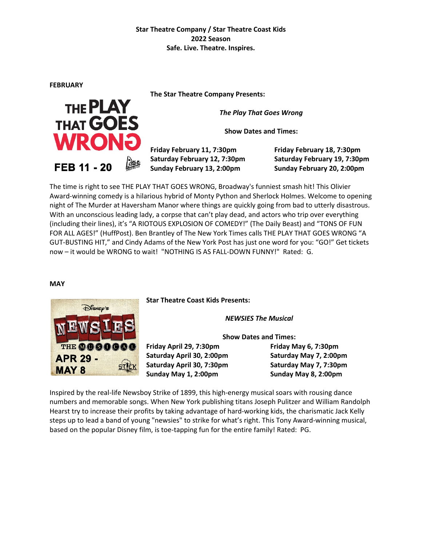**FEBRUARY**

THE **PLAY** 

**THAT GOES** 

**WRON** 

FEB 11 - 20

**The Star Theatre Company Presents:**

*The Play That Goes Wrong*

**Show Dates and Times:**

**Friday February 11, 7:30pm Friday February 18, 7:30pm Saturday February 12, 7:30pm Saturday February 19, 7:30pm Sunday February 13, 2:00pm Sunday February 20, 2:00pm**

The time is right to see THE PLAY THAT GOES WRONG, Broadway's funniest smash hit! This Olivier Award-winning comedy is a hilarious hybrid of Monty Python and Sherlock Holmes. Welcome to opening night of The Murder at Haversham Manor where things are quickly going from bad to utterly disastrous. With an unconscious leading lady, a corpse that can't play dead, and actors who trip over everything (including their lines), it's "A RIOTOUS EXPLOSION OF COMEDY!" (The Daily Beast) and "TONS OF FUN FOR ALL AGES!" (HuffPost). Ben Brantley of The New York Times calls THE PLAY THAT GOES WRONG "A GUT-BUSTING HIT," and Cindy Adams of the New York Post has just one word for you: "GO!" Get tickets now – it would be WRONG to wait! "NOTHING IS AS FALL-DOWN FUNNY!" Rated: G.

#### **MAY**



**Star Theatre Coast Kids Presents:**

*NEWSIES The Musical*

**Show Dates and Times:**

**Friday April 29, 7:30pm Friday May 6, 7:30pm Saturday April 30, 2:00pm Saturday May 7, 2:00pm Saturday April 30, 7:30pm Saturday May 7, 7:30pm Sunday May 1, 2:00pm Sunday May 8, 2:00pm**

Inspired by the real-life Newsboy Strike of 1899, this high-energy musical soars with rousing dance numbers and memorable songs. When New York publishing titans Joseph Pulitzer and William Randolph Hearst try to increase their profits by taking advantage of hard-working kids, the charismatic Jack Kelly steps up to lead a band of young "newsies" to strike for what's right. This Tony Award-winning musical, based on the popular Disney film, is toe-tapping fun for the entire family! Rated: PG.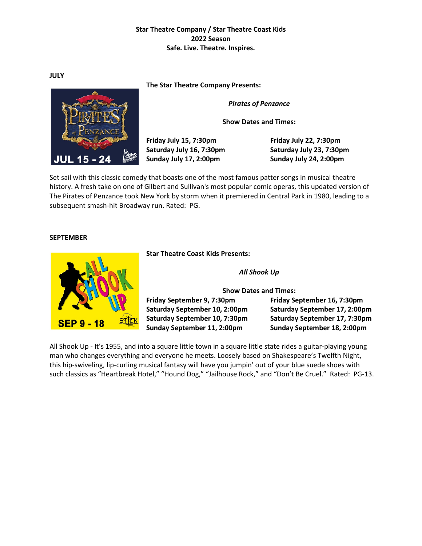**JULY**

**The Star Theatre Company Presents:**

*Pirates of Penzance*

**Show Dates and Times:**

**Friday July 15, 7:30pm Friday July 22, 7:30pm Saturday July 16, 7:30pm Saturday July 23, 7:30pm Sunday July 17, 2:00pm Sunday July 24, 2:00pm**

Set sail with this classic comedy that boasts one of the most famous patter songs in musical theatre history. A fresh take on one of Gilbert and Sullivan's most popular comic operas, this updated version of The Pirates of Penzance took New York by storm when it premiered in Central Park in 1980, leading to a subsequent smash-hit Broadway run. Rated: PG.

#### **SEPTEMBER**

**Star Theatre Coast Kids Presents:**

*All Shook Up*

**Show Dates and Times: Friday September 9, 7:30pm Friday September 16, 7:30pm Saturday September 10, 2:00pm Saturday September 17, 2:00pm Saturday September 10, 7:30pm Saturday September 17, 7:30pm**

**Sunday September 11, 2:00pm Sunday September 18, 2:00pm**

All Shook Up - It's 1955, and into a square little town in a square little state rides a guitar-playing young man who changes everything and everyone he meets. Loosely based on Shakespeare's Twelfth Night, this hip-swiveling, lip-curling musical fantasy will have you jumpin' out of your blue suede shoes with such classics as "Heartbreak Hotel," "Hound Dog," "Jailhouse Rock," and "Don't Be Cruel." Rated: PG-13.



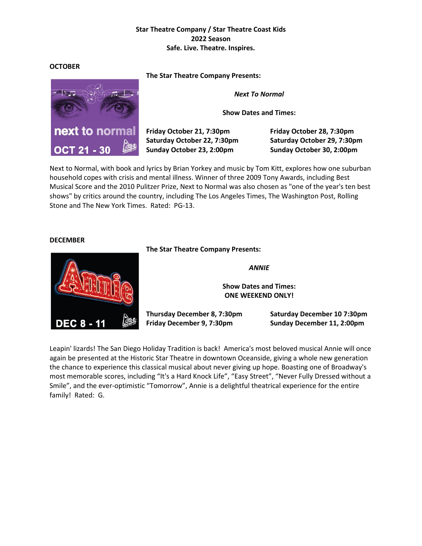#### **OCTOBER**

**The Star Theatre Company Presents:**

*Next To Normal*

**Show Dates and Times:**

**Friday October 21, 7:30pm Friday October 28, 7:30pm Saturday October 22, 7:30pm Saturday October 29, 7:30pm Sunday October 23, 2:00pm Sunday October 30, 2:00pm**

Next to Normal, with book and lyrics by Brian Yorkey and music by Tom Kitt, explores how one suburban household copes with crisis and mental illness. Winner of three 2009 Tony Awards, including Best Musical Score and the 2010 Pulitzer Prize, Next to Normal was also chosen as "one of the year's ten best shows" by critics around the country, including The Los Angeles Times, The Washington Post, Rolling Stone and The New York Times. Rated: PG-13.

#### **DECEMBER**

**The Star Theatre Company Presents:**

*ANNIE*

**Show Dates and Times: ONE WEEKEND ONLY!**

**Thursday December 8, 7:30pm Saturday December 10 7:30pm Friday December 9, 7:30pm Sunday December 11, 2:00pm**

Leapin' lizards! The San Diego Holiday Tradition is back! America's most beloved musical Annie will once again be presented at the Historic Star Theatre in downtown Oceanside, giving a whole new generation the chance to experience this classical musical about never giving up hope. Boasting one of Broadway's most memorable scores, including "It's a Hard Knock Life", "Easy Street", "Never Fully Dressed without a Smile", and the ever-optimistic "Tomorrow", Annie is a delightful theatrical experience for the entire family! Rated: G.